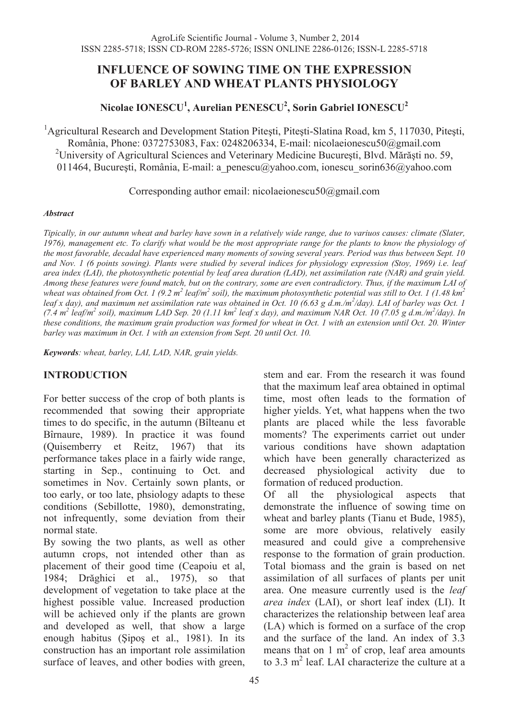# **INFLUENCE OF SOWING TIME ON THE EXPRESSION OF BARLEY AND WHEAT PLANTS PHYSIOLOGY**

**Nicolae IONESCU<sup>1</sup> , Aurelian PENESCU<sup>2</sup> , Sorin Gabriel IONESCU<sup>2</sup>**

<sup>1</sup> Agricultural Research and Development Station Pitești, Pitești-Slatina Road, km 5, 117030, Pitești, România, Phone: 0372753083, Fax: 0248206334, E-mail: nicolaeionescu50@gmail.com <sup>2</sup>University of Agricultural Sciences and Veterinary Medicine București, Blvd. Mărăști no. 59, 011464, Bucuresti, România, E-mail: a penescu@yahoo.com, ionescu sorin $636$ @yahoo.com

Corresponding author email: nicolaeionescu50@gmail.com

#### *Abstract*

*Tipically, in our autumn wheat and barley have sown in a relatively wide range, due to variuos causes: climate (Slater, 1976), management etc. To clarify what would be the most appropriate range for the plants to know the physiology of the most favorable, decadal have experienced many moments of sowing several years. Period was thus between Sept. 10 and Nov. 1 (6 points sowing). Plants were studied by several indices for physiology expression (Stoy, 1969) i.e. leaf area index (LAI), the photosynthetic potential by leaf area duration (LAD), net assimilation rate (NAR) and grain yield. Among these features were found match, but on the contrary, some are even contradictory. Thus, if the maximum LAI of*  wheat was obtained from Oct. 1 (9.2 m<sup>2</sup> leaf/m<sup>2</sup> soil), the maximum photosynthetic potential was still to Oct. 1 (1.48 km<sup>2</sup> leaf x day), and maximum net assimilation rate was obtained in Oct. 10 (6.63 g d.m./m<sup>2</sup>/day). LAI of barley was Oct. 1 (7.4  $m^2$  leaf/ $m^2$  soil), maximum LAD Sep. 20 (1.11 km<sup>2</sup> leaf x day), and maximum NAR Oct. 10 (7.05 g d.m./m<sup>2</sup>/day). In *these conditions, the maximum grain production was formed for wheat in Oct. 1 with an extension until Oct. 20. Winter barley was maximum in Oct. 1 with an extension from Sept. 20 until Oct. 10.* 

*Keywords: wheat, barley, LAI, LAD, NAR, grain yields.* 

## **INTRODUCTION**

For better success of the crop of both plants is recommended that sowing their appropriate times to do specific, in the autumn (Bîlteanu et Bîrnaure, 1989). In practice it was found (Quisemberry et Reitz, 1967) that its performance takes place in a fairly wide range, starting in Sep., continuing to Oct. and sometimes in Nov. Certainly sown plants, or too early, or too late, phsiology adapts to these conditions (Sebillotte, 1980), demonstrating, not infrequently, some deviation from their normal state.

By sowing the two plants, as well as other autumn crops, not intended other than as placement of their good time (Ceapoiu et al, 1984; Drăghici et al., 1975), so that development of vegetation to take place at the highest possible value. Increased production will be achieved only if the plants are grown and developed as well, that show a large enough habitus (Sipos et al., 1981). In its construction has an important role assimilation surface of leaves, and other bodies with green, stem and ear. From the research it was found that the maximum leaf area obtained in optimal time, most often leads to the formation of higher yields. Yet, what happens when the two plants are placed while the less favorable moments? The experiments carriet out under various conditions have shown adaptation which have been generally characterized as decreased physiological activity due to formation of reduced production.

Of all the physiological aspects that demonstrate the influence of sowing time on wheat and barley plants (Tianu et Bude, 1985), some are more obvious, relatively easily measured and could give a comprehensive response to the formation of grain production. Total biomass and the grain is based on net assimilation of all surfaces of plants per unit area. One measure currently used is the *leaf area index* (LAI), or short leaf index (LI). It characterizes the relationship between leaf area (LA) which is formed on a surface of the crop and the surface of the land. An index of 3.3 means that on 1  $m<sup>2</sup>$  of crop, leaf area amounts to  $3.3 \text{ m}^2$  leaf. LAI characterize the culture at a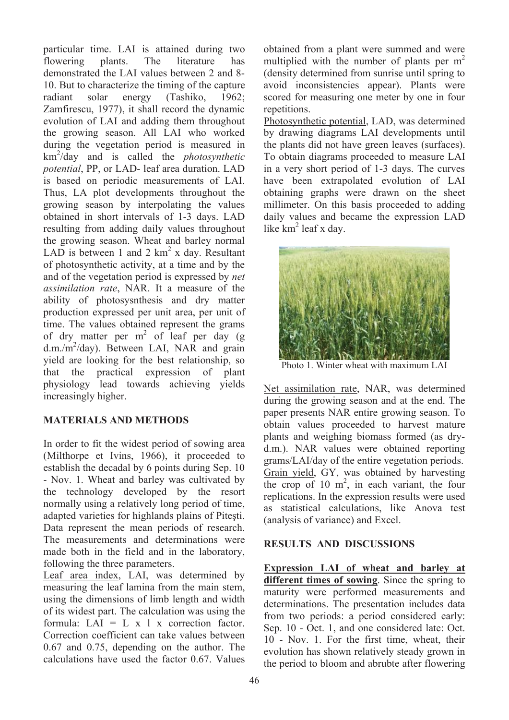particular time. LAI is attained during two flowering plants. The literature has demonstrated the LAI values between 2 and 8- 10. But to characterize the timing of the capture radiant solar energy (Tashiko, 1962; Zamfirescu, 1977), it shall record the dynamic evolution of LAI and adding them throughout the growing season. All LAI who worked during the vegetation period is measured in km2 /day and is called the *photosynthetic potential*, PP, or LAD- leaf area duration. LAD is based on periodic measurements of LAI. Thus, LA plot developments throughout the growing season by interpolating the values obtained in short intervals of 1-3 days. LAD resulting from adding daily values throughout the growing season. Wheat and barley normal LAD is between 1 and 2  $km^2$  x day. Resultant of photosynthetic activity, at a time and by the and of the vegetation period is expressed by *net assimilation rate*, NAR. It a measure of the ability of photosysnthesis and dry matter production expressed per unit area, per unit of time. The values obtained represent the grams of dry matter per  $m^2$  of leaf per day (g) d.m./m<sup>2</sup>/day). Between LAI, NAR and grain yield are looking for the best relationship, so that the practical expression of plant physiology lead towards achieving yields increasingly higher.

## **MATERIALS AND METHODS**

In order to fit the widest period of sowing area (Milthorpe et Ivins, 1966), it proceeded to establish the decadal by 6 points during Sep. 10 - Nov. 1. Wheat and barley was cultivated by the technology developed by the resort normally using a relatively long period of time, adapted varieties for highlands plains of Pitesti. Data represent the mean periods of research. The measurements and determinations were made both in the field and in the laboratory, following the three parameters.

Leaf area index, LAI, was determined by measuring the leaf lamina from the main stem, using the dimensions of limb length and width of its widest part. The calculation was using the formula: LAI = L  $x$  l  $x$  correction factor. Correction coefficient can take values between 0.67 and 0.75, depending on the author. The calculations have used the factor 0.67. Values

obtained from a plant were summed and were multiplied with the number of plants per  $m<sup>2</sup>$ (density determined from sunrise until spring to avoid inconsistencies appear). Plants were scored for measuring one meter by one in four repetitions.

Photosynthetic potential, LAD, was determined by drawing diagrams LAI developments until the plants did not have green leaves (surfaces). To obtain diagrams proceeded to measure LAI in a very short period of 1-3 days. The curves have been extrapolated evolution of LAI obtaining graphs were drawn on the sheet millimeter. On this basis proceeded to adding daily values and became the expression LAD like km<sup>2</sup> leaf x day.



Net assimilation rate, NAR, was determined during the growing season and at the end. The paper presents NAR entire growing season. To obtain values proceeded to harvest mature plants and weighing biomass formed (as dryd.m.). NAR values were obtained reporting grams/LAI/day of the entire vegetation periods. Grain yield, GY, was obtained by harvesting the crop of 10  $m^2$ , in each variant, the four replications. In the expression results were used as statistical calculations, like Anova test (analysis of variance) and Excel.

## **RESULTS AND DISCUSSIONS**

**Expression LAI of wheat and barley at different times of sowing**. Since the spring to maturity were performed measurements and determinations. The presentation includes data from two periods: a period considered early: Sep. 10 - Oct. 1, and one considered late: Oct. 10 - Nov. 1. For the first time, wheat, their evolution has shown relatively steady grown in the period to bloom and abrubte after flowering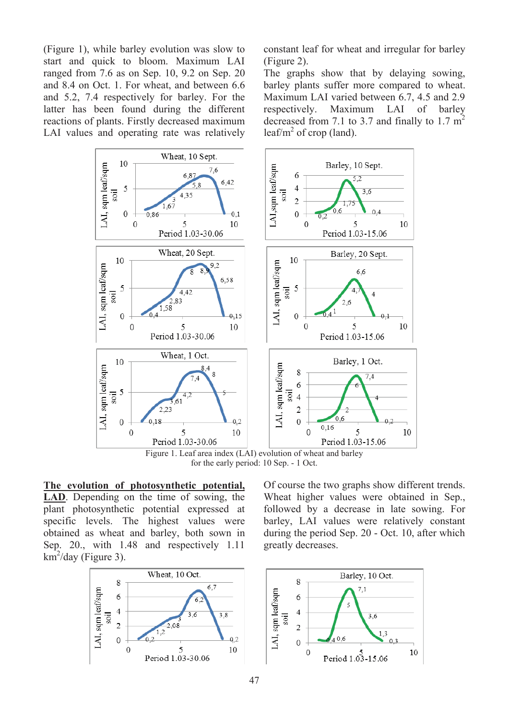(Figure 1), while barley evolution was slow to start and quick to bloom. Maximum LAI ranged from 7.6 as on Sep. 10, 9.2 on Sep. 20 and 8.4 on Oct. 1. For wheat, and between 6.6 and 5.2, 7.4 respectively for barley. For the latter has been found during the different reactions of plants. Firstly decreased maximum LAI values and operating rate was relatively constant leaf for wheat and irregular for barley (Figure 2).

The graphs show that by delaying sowing, barley plants suffer more compared to wheat. Maximum LAI varied between 6.7, 4.5 and 2.9 respectively. Maximum LAI of barley decreased from 7.1 to 3.7 and finally to 1.7  $m<sup>2</sup>$ leaf/ $m^2$  of crop (land).



for the early period: 10 Sep. - 1 Oct.

**The evolution of photosynthetic potential, LAD**. Depending on the time of sowing, the plant photosynthetic potential expressed at specific levels. The highest values were obtained as wheat and barley, both sown in Sep. 20., with 1.48 and respectively 1.11  $km^2$ /day (Figure 3).



Of course the two graphs show different trends. Wheat higher values were obtained in Sep., followed by a decrease in late sowing. For barley, LAI values were relatively constant during the period Sep. 20 - Oct. 10, after which greatly decreases.

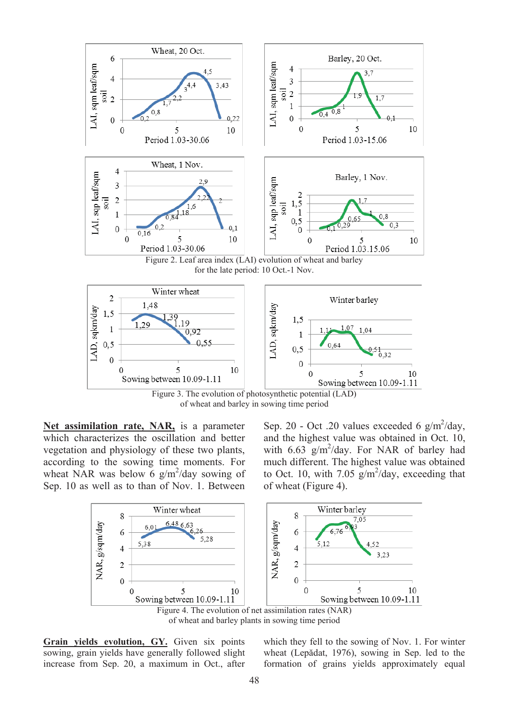

of wheat and barley in sowing time period

**Net assimilation rate, NAR,** is a parameter which characterizes the oscillation and better vegetation and physiology of these two plants, according to the sowing time moments. For wheat NAR was below 6  $g/m^2$ /day sowing of Sep. 10 as well as to than of Nov. 1. Between

Sep. 20 - Oct .20 values exceeded 6  $g/m^2$ /day, and the highest value was obtained in Oct. 10, with  $6.63 \text{ g/m}^2/\text{day}$ . For NAR of barley had much different. The highest value was obtained to Oct. 10, with 7.05  $g/m^2$ /day, exceeding that of wheat (Figure 4).





**Grain yields evolution, GY.** Given six points sowing, grain yields have generally followed slight increase from Sep. 20, a maximum in Oct., after which they fell to the sowing of Nov. 1. For winter wheat (Lepădat, 1976), sowing in Sep. led to the formation of grains yields approximately equal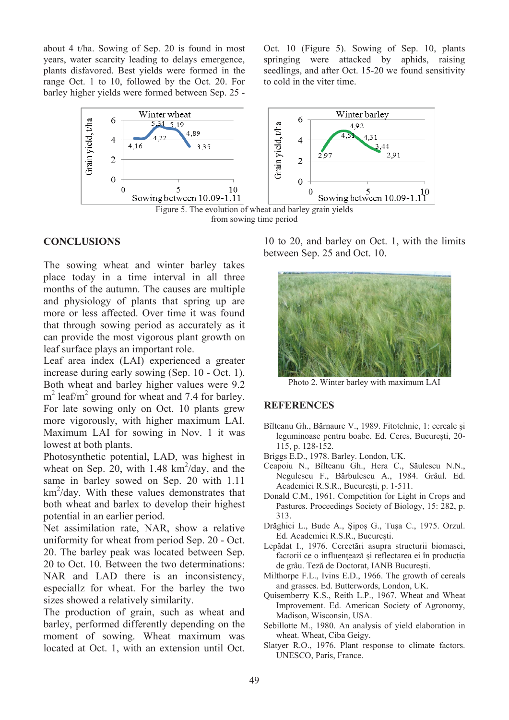about 4 t/ha. Sowing of Sep. 20 is found in most years, water scarcity leading to delays emergence, plants disfavored. Best yields were formed in the range Oct. 1 to 10, followed by the Oct. 20. For barley higher yields were formed between Sep. 25 - Oct. 10 (Figure 5). Sowing of Sep. 10, plants springing were attacked by aphids, raising seedlings, and after Oct. 15-20 we found sensitivity to cold in the viter time.



from sowing time period

#### **CONCLUSIONS**

The sowing wheat and winter barley takes place today in a time interval in all three months of the autumn. The causes are multiple and physiology of plants that spring up are more or less affected. Over time it was found that through sowing period as accurately as it can provide the most vigorous plant growth on leaf surface plays an important role.

Leaf area index (LAI) experienced a greater increase during early sowing (Sep. 10 - Oct. 1). Both wheat and barley higher values were 9.2 m<sup>2</sup> leaf/m<sup>2</sup> ground for wheat and 7.4 for barley. For late sowing only on Oct. 10 plants grew more vigorously, with higher maximum LAI. Maximum LAI for sowing in Nov. 1 it was lowest at both plants.

Photosynthetic potential, LAD, was highest in wheat on Sep.  $20$ , with 1.48 km<sup>2</sup>/day, and the same in barley sowed on Sep. 20 with 1.11 km<sup>2</sup>/day. With these values demonstrates that both wheat and barlex to develop their highest potential in an earlier period.

Net assimilation rate, NAR, show a relative uniformity for wheat from period Sep. 20 - Oct. 20. The barley peak was located between Sep. 20 to Oct. 10. Between the two determinations: NAR and LAD there is an inconsistency, especiallz for wheat. For the barley the two sizes showed a relatively similarity.

The production of grain, such as wheat and barley, performed differently depending on the moment of sowing. Wheat maximum was located at Oct. 1, with an extension until Oct.

10 to 20, and barley on Oct. 1, with the limits between Sep. 25 and Oct. 10.



Photo 2. Winter barley with maximum LAI

#### **REFERENCES**

- Bîlteanu Gh., Bărnaure V., 1989. Fitotehnie, 1: cereale și leguminoase pentru boabe. Ed. Ceres, București, 20-115, p. 128-152.
- Briggs E.D., 1978. Barley. London, UK.
- Ceapoiu N., Bîlteanu Gh., Hera C., Săulescu N.N., Negulescu F., Bărbulescu A., 1984. Grâul. Ed. Academiei R.S.R., București, p. 1-511.
- Donald C.M., 1961. Competition for Light in Crops and Pastures. Proceedings Society of Biology, 15: 282, p. 313.
- Drăghici L., Bude A., Șipoș G., Tușa C., 1975. Orzul. Ed. Academiei R.S.R., București.
- Lepădat I., 1976. Cercetări asupra structurii biomasei, factorii ce o influențează și reflectarea ei în producția de grâu. Teză de Doctorat, IANB București.
- Milthorpe F.L., Ivins E.D., 1966. The growth of cereals and grasses. Ed. Butterwords, London, UK.
- Quisemberry K.S., Reith L.P., 1967. Wheat and Wheat Improvement. Ed. American Society of Agronomy, Madison, Wisconsin, USA.
- Sebillotte M., 1980. An analysis of yield elaboration in wheat. Wheat, Ciba Geigy.
- Slatyer R.O., 1976. Plant response to climate factors. UNESCO, Paris, France.